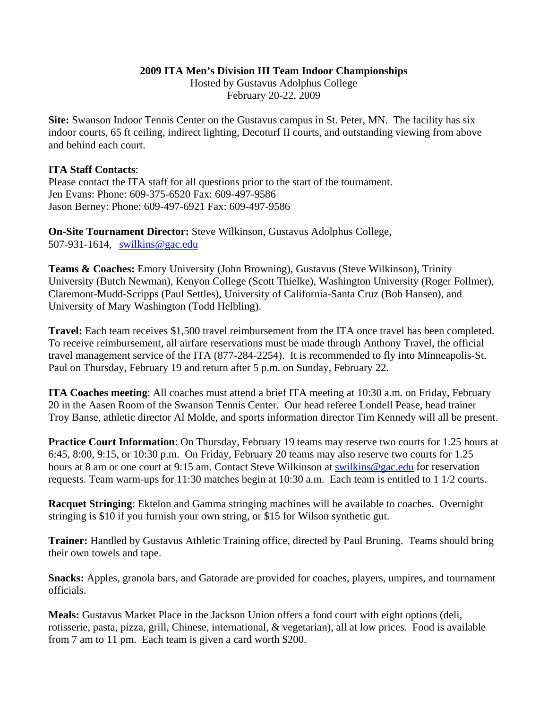## **2009 ITA Men's Division III Team Indoor Championships**

Hosted by Gustavus Adolphus College February 20-22, 2009

**Site:** Swanson Indoor Tennis Center on the Gustavus campus in St. Peter, MN. The facility has six indoor courts, 65 ft ceiling, indirect lighting, Decoturf II courts, and outstanding viewing from above and behind each court.

## **ITA Staff Contacts**:

Please contact the ITA staff for all questions prior to the start of the tournament. Jen Evans: Phone: 609-375-6520 Fax: 609-497-9586 Jason Berney: Phone: 609-497-6921 Fax: 609-497-9586

**On-Site Tournament Director:** Steve Wilkinson, Gustavus Adolphus College, 507-931-1614, swilkins@gac.edu

**Teams & Coaches:** Emory University (John Browning), Gustavus (Steve Wilkinson), Trinity University (Butch Newman), Kenyon College (Scott Thielke), Washington University (Roger Follmer), Claremont-Mudd-Scripps (Paul Settles), University of California-Santa Cruz (Bob Hansen), and University of Mary Washington (Todd Helbling).

**Travel:** Each team receives \$1,500 travel reimbursement from the ITA once travel has been completed. To receive reimbursement, all airfare reservations must be made through Anthony Travel, the official travel management service of the ITA (877-284-2254). It is recommended to fly into Minneapolis-St. Paul on Thursday, February 19 and return after 5 p.m. on Sunday, February 22.

**ITA Coaches meeting**: All coaches must attend a brief ITA meeting at 10:30 a.m. on Friday, February 20 in the Aasen Room of the Swanson Tennis Center. Our head referee Londell Pease, head trainer Troy Banse, athletic director Al Molde, and sports information director Tim Kennedy will all be present.

**Practice Court Information**: On Thursday, February 19 teams may reserve two courts for 1.25 hours at 6:45, 8:00, 9:15, or 10:30 p.m. On Friday, February 20 teams may also reserve two courts for 1.25 hours at 8 am or one court at 9:15 am. Contact Steve Wilkinson at swilkins@gac.edu for reservation requests. Team warm-ups for 11:30 matches begin at 10:30 a.m. Each team is entitled to 1 1/2 courts.

**Racquet Stringing**: Ektelon and Gamma stringing machines will be available to coaches. Overnight stringing is \$10 if you furnish your own string, or \$15 for Wilson synthetic gut.

**Trainer:** Handled by Gustavus Athletic Training office, directed by Paul Bruning. Teams should bring their own towels and tape.

**Snacks:** Apples, granola bars, and Gatorade are provided for coaches, players, umpires, and tournament officials.

**Meals:** Gustavus Market Place in the Jackson Union offers a food court with eight options (deli, rotisserie, pasta, pizza, grill, Chinese, international, & vegetarian), all at low prices. Food is available from 7 am to 11 pm. Each team is given a card worth \$200.